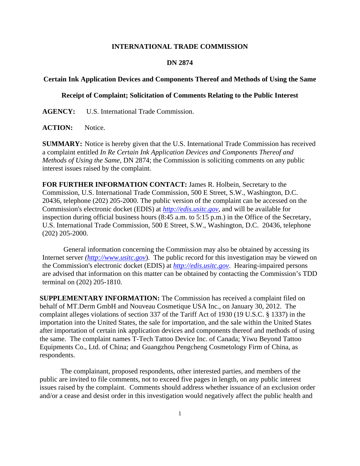## **INTERNATIONAL TRADE COMMISSION**

## **DN 2874**

## **Certain Ink Application Devices and Components Thereof and Methods of Using the Same**

## **Receipt of Complaint; Solicitation of Comments Relating to the Public Interest**

**AGENCY:** U.S. International Trade Commission.

ACTION: Notice.

**SUMMARY:** Notice is hereby given that the U.S. International Trade Commission has received a complaint entitled *In Re Certain Ink Application Devices and Components Thereof and Methods of Using the Same*, DN 2874; the Commission is soliciting comments on any public interest issues raised by the complaint.

**FOR FURTHER INFORMATION CONTACT:** James R. Holbein, Secretary to the Commission, U.S. International Trade Commission, 500 E Street, S.W., Washington, D.C. 20436, telephone (202) 205-2000. The public version of the complaint can be accessed on the Commission's electronic docket (EDIS) at *http://edis.usitc.gov*, and will be available for inspection during official business hours (8:45 a.m. to 5:15 p.m.) in the Office of the Secretary, U.S. International Trade Commission, 500 E Street, S.W., Washington, D.C. 20436, telephone (202) 205-2000.

General information concerning the Commission may also be obtained by accessing its Internet server *(http://www.usitc.gov*). The public record for this investigation may be viewed on the Commission's electronic docket (EDIS) at *http://edis.usitc.gov*. Hearing-impaired persons are advised that information on this matter can be obtained by contacting the Commission's TDD terminal on (202) 205-1810.

**SUPPLEMENTARY INFORMATION:** The Commission has received a complaint filed on behalf of MT.Derm GmbH and Nouveau Cosmetique USA Inc., on January 30, 2012. The complaint alleges violations of section 337 of the Tariff Act of 1930 (19 U.S.C. § 1337) in the importation into the United States, the sale for importation, and the sale within the United States after importation of certain ink application devices and components thereof and methods of using the same. The complaint names T-Tech Tattoo Device Inc. of Canada; Yiwu Beyond Tattoo Equipments Co., Ltd. of China; and Guangzhou Pengcheng Cosmetology Firm of China, as respondents.

 The complainant, proposed respondents, other interested parties, and members of the public are invited to file comments, not to exceed five pages in length, on any public interest issues raised by the complaint. Comments should address whether issuance of an exclusion order and/or a cease and desist order in this investigation would negatively affect the public health and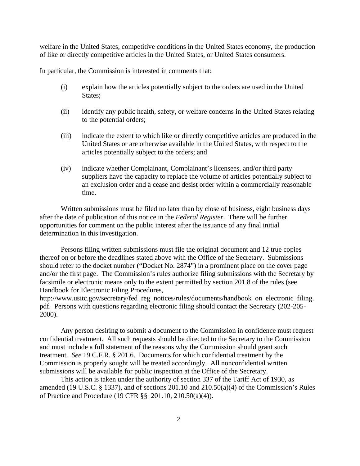welfare in the United States, competitive conditions in the United States economy, the production of like or directly competitive articles in the United States, or United States consumers.

In particular, the Commission is interested in comments that:

- (i) explain how the articles potentially subject to the orders are used in the United States;
- (ii) identify any public health, safety, or welfare concerns in the United States relating to the potential orders;
- (iii) indicate the extent to which like or directly competitive articles are produced in the United States or are otherwise available in the United States, with respect to the articles potentially subject to the orders; and
- (iv) indicate whether Complainant, Complainant's licensees, and/or third party suppliers have the capacity to replace the volume of articles potentially subject to an exclusion order and a cease and desist order within a commercially reasonable time.

 Written submissions must be filed no later than by close of business, eight business days after the date of publication of this notice in the *Federal Register*. There will be further opportunities for comment on the public interest after the issuance of any final initial determination in this investigation.

 Persons filing written submissions must file the original document and 12 true copies thereof on or before the deadlines stated above with the Office of the Secretary. Submissions should refer to the docket number ("Docket No. 2874") in a prominent place on the cover page and/or the first page. The Commission's rules authorize filing submissions with the Secretary by facsimile or electronic means only to the extent permitted by section 201.8 of the rules (see Handbook for Electronic Filing Procedures,

http://www.usitc.gov/secretary/fed\_reg\_notices/rules/documents/handbook\_on\_electronic\_filing. pdf. Persons with questions regarding electronic filing should contact the Secretary (202-205- 2000).

 Any person desiring to submit a document to the Commission in confidence must request confidential treatment. All such requests should be directed to the Secretary to the Commission and must include a full statement of the reasons why the Commission should grant such treatment. *See* 19 C.F.R. § 201.6. Documents for which confidential treatment by the Commission is properly sought will be treated accordingly. All nonconfidential written submissions will be available for public inspection at the Office of the Secretary.

This action is taken under the authority of section 337 of the Tariff Act of 1930, as amended (19 U.S.C. § 1337), and of sections 201.10 and 210.50(a)(4) of the Commission's Rules of Practice and Procedure (19 CFR §§ 201.10, 210.50(a)(4)).